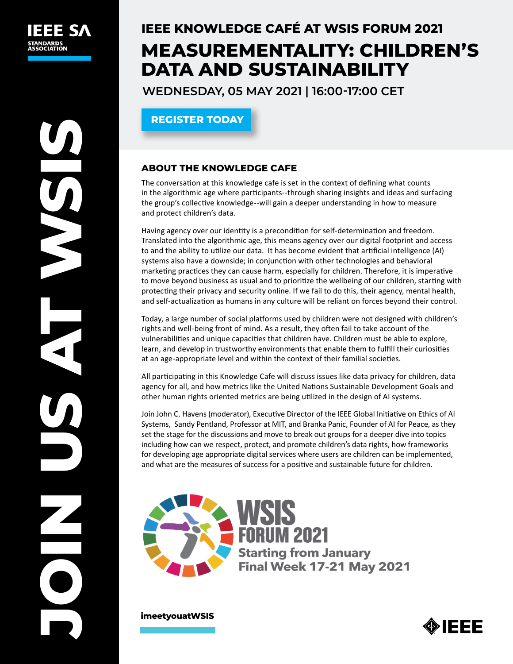# **IEEE KNOWLEDGE CAFÉ AT WSIS FORUM 2021 MEASUREMENTALITY: CHILDREN'S DATA AND SUSTAINABILITY**

**WEDNESDAY, 05 MAY 2021 | 16:00-17:00 CET**

**[REGISTER TODAY](https://itu.zoom.us/meeting/register/tJcpc-2prDovHtOuuuYiqU1Ja-tCw8QjeXjZ)**

## **ABOUT THE KNOWLEDGE CAFE**

The conversation at this knowledge cafe is set in the context of defining what counts in the algorithmic age where participants--through sharing insights and ideas and surfacing the group's collective knowledge--will gain a deeper understanding in how to measure and protect children's data.

Having agency over our identity is a precondition for self‐determination and freedom. Translated into the algorithmic age, this means agency over our digital footprint and access to and the ability to utilize our data. It has become evident that artificial intelligence (AI) systems also have a downside; in conjunction with other technologies and behavioral marketing practices they can cause harm, especially for children. Therefore, it is imperative to move beyond business as usual and to prioritize the wellbeing of our children, starting with protecting their privacy and security online. If we fail to do this, their agency, mental health, and self‐actualization as humans in any culture will be reliant on forces beyond their control.

Today, a large number of social platforms used by children were not designed with children's rights and well-being front of mind. As a result, they often fail to take account of the vulnerabilities and unique capacities that children have. Children must be able to explore, learn, and develop in trustworthy environments that enable them to fulfill their curiosities at an age‐appropriate level and within the context of their familial societies.

All participating in this Knowledge Cafe will discuss issues like data privacy for children, data agency for all, and how metrics like the United Nations Sustainable Development Goals and other human rights oriented metrics are being utilized in the design of AI systems.

Join John C. Havens (moderator), Executive Director of the IEEE Global Initiative on Ethics of AI Systems, Sandy Pentland, Professor at MIT, and Branka Panic, Founder of AI for Peace, as they set the stage for the discussions and move to break out groups for a deeper dive into topics including how can we respect, protect, and promote children's data rights, how frameworks for developing age appropriate digital services where users are children can be implemented, and what are the measures of success for a positive and sustainable future for children.



**[imeetyouatWSIS](https://wsisforum2020.pathable.co/)**